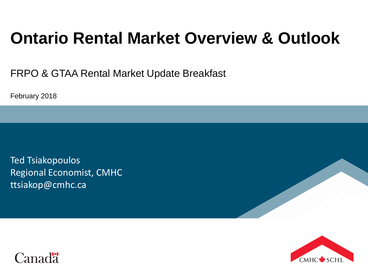# **Ontario Rental Market Overview & Outlook**

FRPO & GTAA Rental Market Update Breakfast

February 2018

Ted Tsiakopoulos Regional Economist, CMHC ttsiakop@cmhc.ca



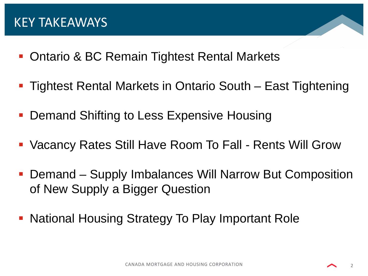- Ontario & BC Remain Tightest Rental Markets
- Tightest Rental Markets in Ontario South East Tightening
- Demand Shifting to Less Expensive Housing
- Vacancy Rates Still Have Room To Fall Rents Will Grow
- Demand Supply Imbalances Will Narrow But Composition of New Supply a Bigger Question
- National Housing Strategy To Play Important Role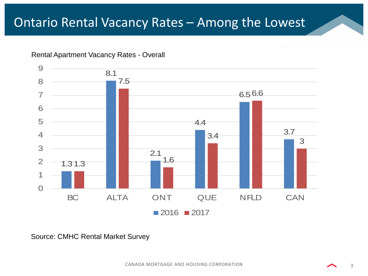### Ontario Rental Vacancy Rates – Among the Lowest





Source: CMHC Rental Market Survey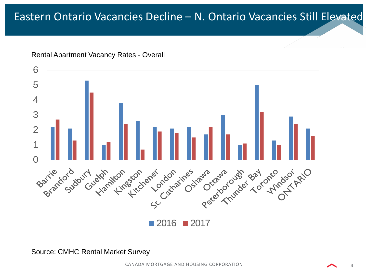### Eastern Ontario Vacancies Decline – N. Ontario Vacancies Still Elevated



Rental Apartment Vacancy Rates - Overall

Source: CMHC Rental Market Survey

CANADA MORTGAGE AND HOUSING CORPORATION 4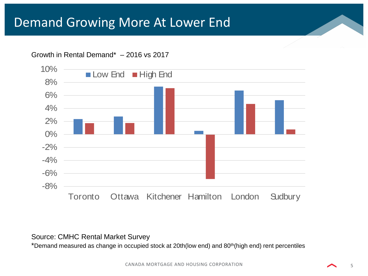### Demand Growing More At Lower End

#### Growth in Rental Demand\* – 2016 vs 2017



#### Source: CMHC Rental Market Survey

\*Demand measured as change in occupied stock at 20th(low end) and 80th(high end) rent percentiles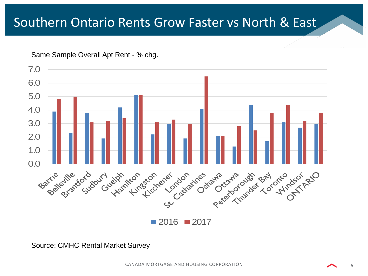### Southern Ontario Rents Grow Faster vs North & East

Same Sample Overall Apt Rent - % chg.



Source: CMHC Rental Market Survey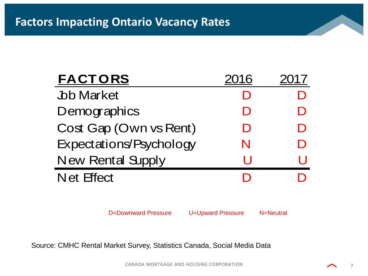| <b>FACTORS</b>           | 2016 |   |
|--------------------------|------|---|
| <b>Job Market</b>        | D    |   |
| Demographics             | D    |   |
| Cost Gap (Own vs Rent)   | D    | D |
| Expectations/Psychology  | N    | D |
| <b>New Rental Supply</b> | H    |   |
| <b>Net Effect</b>        |      |   |

D=Downward Pressure U=Upward Pressure N=Neutral

Source: CMHC Rental Market Survey, Statistics Canada, Social Media Data

CANADA MORTGAGE AND HOUSING CORPORATION 7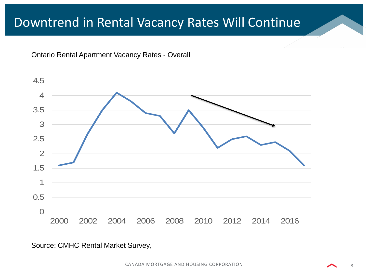### Downtrend in Rental Vacancy Rates Will Continue

Ontario Rental Apartment Vacancy Rates - Overall



#### Source: CMHC Rental Market Survey,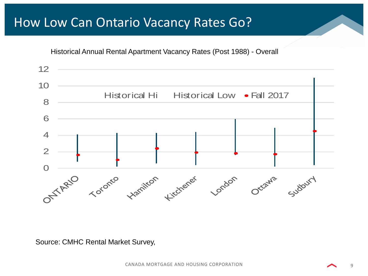### How Low Can Ontario Vacancy Rates Go?

Historical Annual Rental Apartment Vacancy Rates (Post 1988) - Overall



Source: CMHC Rental Market Survey,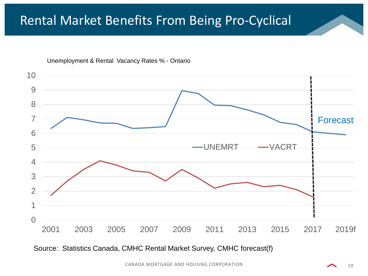### Rental Market Benefits From Being Pro-Cyclical



Unemployment & Rental Vacancy Rates % - Ontario

Source: Statistics Canada, CMHC Rental Market Survey, CMHC forecast(f)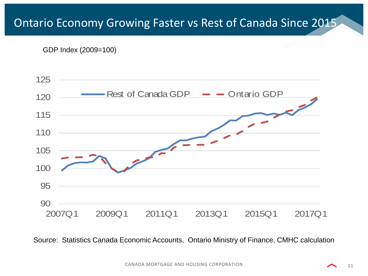### Ontario Economy Growing Faster vs Rest of Canada Since 2015

GDP Index (2009=100)



Source: Statistics Canada Economic Accounts, Ontario Ministry of Finance, CMHC calculation

11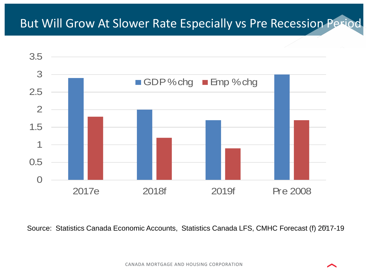

Source: Statistics Canada Economic Accounts, Statistics Canada LFS, CMHC Forecast (f) 20917-19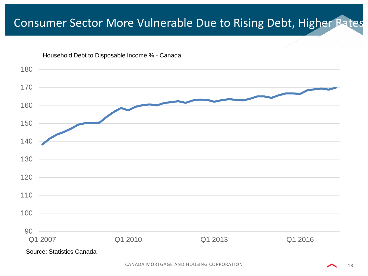### Consumer Sector More Vulnerable Due to Rising Debt, Higher Rates

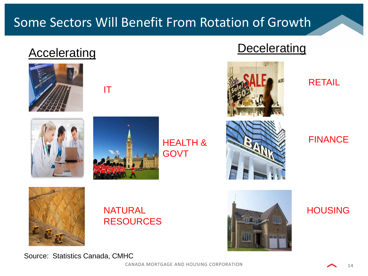# Accelerating Decelerating









HEALTH & GOVT





RETAIL

### FINANCE



### NATURAL RESOURCES



**HOUSING** 

Source: Statistics Canada, CMHC

CANADA MORTGAGE AND HOUSING CORPORATION 14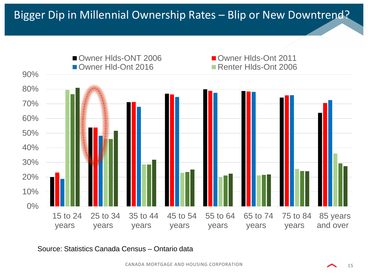

Source: Statistics Canada Census – Ontario data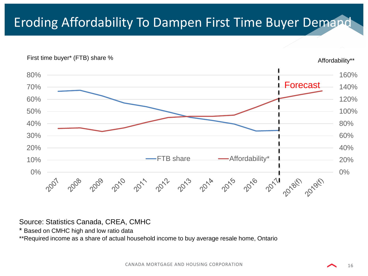## Eroding Affordability To Dampen First Time Buyer Demand



#### Source: Statistics Canada, CREA, CMHC

\* Based on CMHC high and low ratio data

\*\*Required income as a share of actual household income to buy average resale home, Ontario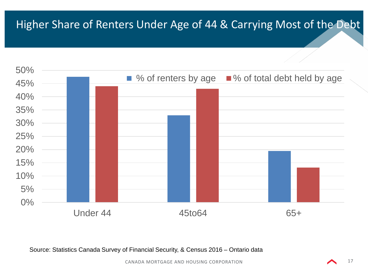### Higher Share of Renters Under Age of 44 & Carrying Most of the Debt



Source: Statistics Canada Survey of Financial Security, & Census 2016 – Ontario data

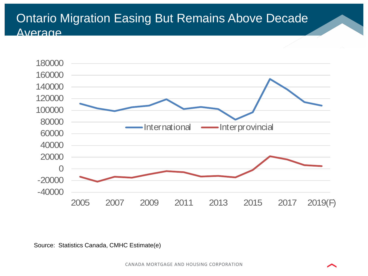### Ontario Migration Easing But Remains Above Decade Average



Source: Statistics Canada, CMHC Estimate(e)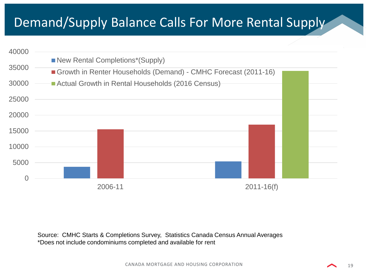### Demand/Supply Balance Calls For More Rental Supply



Source: CMHC Starts & Completions Survey, Statistics Canada Census Annual Averages \*Does not include condominiums completed and available for rent

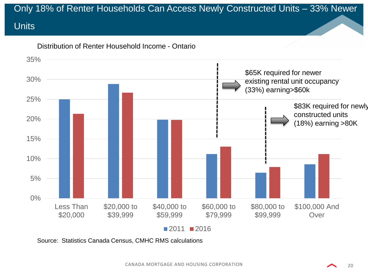# Only 18% of Renter Households Can Access Newly Constructed Units – 33% Newer **Units**



Source: Statistics Canada Census, CMHC RMS calculations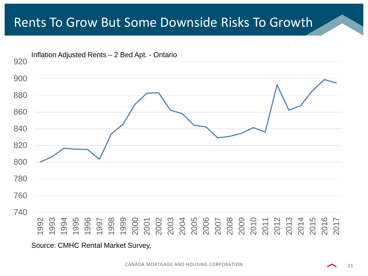### Rents To Grow But Some Downside Risks To Growth



Source: CMHC Rental Market Survey,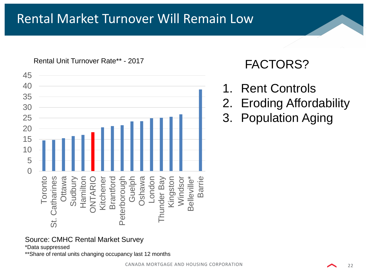### Rental Market Turnover Will Remain Low

Rental Unit Turnover Rate\*\* - 2017



### FACTORS?

- 1. Rent Controls
- 2. Eroding Affordability
- 3. Population Aging

Source: CMHC Rental Market Survey

\*Data suppressed

\*\*Share of rental units changing occupancy last 12 months